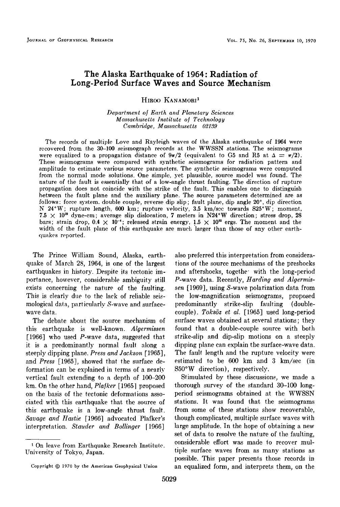# **The Alaska Earthquake of 1964: Radiation of Long-Period Surface Waves and Source Mechanism**

**HIROO KANAMORI 1** 

**Department of Earth and Planetary Sciences Massach•setts Institute of Technology Camb•'idge, Massachusetts 02139** 

**The records of multiple Love and Rayleigh waves of the Alaska earthquake of 1964 were recovered from the 30-100 seismograph records at the WWSSN stations. The seismograms**  were equalized to a propagation distance of  $9\pi/2$  (equivalent to G5 and R5 at  $\Delta = \pi/2$ ). **These seismograms were compared with synthetic seismograms for radiation pattern and amplitude to estimate various source parameters. The synthetic seismograms were computed from the normal mode solutions. One simple, yet plausible, source model was found. The nature of the fault is essentially that of a low-angle thrust faulting. The direction of rupture propagation does not coincide with the strike of the fault. This enables one to distinguish between the fault plane and the auxiliary plane. The source parameters determined are as**  follows: force system. double couple, reverse dip slip; fault plane, dip angle 20°, dip direction **N 24øW; rupture length. 600 km; rupture velocity, 3.5 km/sec towards S25øW; moment,**   $7.5 \times 10^{29}$  dyne-cm; average slip dislocation, 7 meters in N24<sup>°</sup>W direction; stress drop, 28 bars; strain drop,  $0.4 \times 10^{-4}$ ; released strain energy,  $1.5 \times 10^{25}$  ergs. The moment and the width of the fault plane of this earthquake are much larger than those of any other earth**quakes reported.** 

**The Prince William Sound, Alaska, earthquake of March 28, 1964, is one of the largest earthquakes in history. Despite its tectonic importance, however, considerable ambiguity still exists concerning the nature of the faulting. This is elearlv due to the lack of reliable seis- ,,**  mological data, particularly S-wave and surface**wave data.** 

The debate about the source mechanism of **this earthquake is well-known. Algerrnissen [1966] who used P-wave data, suggested that it is a predominantly normal fault along a steeply dipping plane. Press and Jackson [1965], and Press [1965], showed that the surface deformation can be explained in terms of a nearly vertical fault extending to a depth of 100-200 km. On the other hand, Plafker [1965] proposed on the basis of the tectonic deformalions associated with this earthquake that the source of this earthquake is a low-angle thrust fault.**  Savage and Hastie [1966] advocated Plafker's interpretation. Stauder and Bollinger [1966]

**tions of the source mechanisms of the preshocks**  and aftershocks, togethe' with the long-period **P-wave data. Recently, Hardinq and Alqermissen [1969], using S-wave polarization data from the low-magnification seismograms, proposed predominantly strike-slip faulting (double**couple). Toksöz et al. [1965] used long-period surface waves obtained at several stations; they found that a double-couple source with both **strike-slip and dip-slip motions on a steeply dipping plane can explain the surface-wave data. The fault length and the rupture velocity were estimated to be 600 km and 3 km/sec (in S50øW direction), respectively.** 

**also preferred this interpretation from considera-**

**Stimulated by these discussions, we made a thorough survey of the standard 30-100 longperiod seismograms obtained at the WWSSN stations. It was found that, the seismograms from some of these stations show recoverable, though complicated, multiple surface waves with large amplitude. In the hope of obtaining a new set of data to resolve the nature of the faulting, considerable effort was made to recover multiple surface waves from as many stations as possible. This paper presents those records in an equalized form, and interprets them, on the** 

<sup>&</sup>lt;sup>1</sup> On leave from Earthquake Research Institute. **University of Tokyo. Japan.** 

Copyright  $@$  1970 by the American Geophysical Union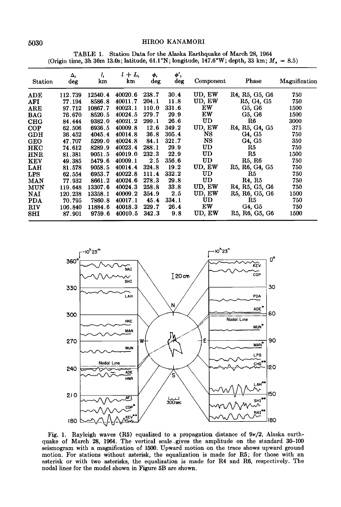# **5030 HIROO KANAMORI**

**TABLE 1. Station Data for the Alaska Earthquake of March 28, 1964**  (Origin time, 3h 36m 13.0s; latitude,  $61.1^{\circ}$ N; longitude,  $147.6^{\circ}$ W; depth, 33 km;  $M_s = 8.5$ )

| <b>Station</b> | Δ,<br>deg | l,<br>km | $l + L$<br>km | ф,<br>deg | φ,<br>deg | Component | Phase                                                             | Magnification |
|----------------|-----------|----------|---------------|-----------|-----------|-----------|-------------------------------------------------------------------|---------------|
| ADE            | 112.739   | 12540.4  | 40020.6       | 238.7     | 30.4      | UD, EW    | R <sub>4</sub> , R <sub>5</sub> , G <sub>5</sub> , G <sub>6</sub> | 750           |
| AFI            | 77.194    | 8586.8   | 40011.7       | 204.1     | 11.8      | UD, EW    | R <sub>5</sub> , G <sub>4</sub> , G <sub>5</sub>                  | 750           |
| ARE            | 97.712    | 10867.7  | 40023.1       | 110.0     | 331.6     | ΕW        | G5, G6                                                            | 1500          |
| <b>BAG</b>     | 76.670    | 8520.5   | 40024.5       | 279.7     | 29.9      | EW        | G5, G6                                                            | 1500          |
| CHG            | 84.444    | 9382.0   | 40021.2       | 299.1     | 26.6      | UD        | R6                                                                | 3000          |
| COP            | 62.506    | 6936.5   | 40009.8       | 12.6      | 349.2     | UD, EW    | R4, R5, G4, G5                                                    | 375           |
| GDH            | 36.452    | 4045.4   | 40014.8       | 36.8      | 305.4     | NS        | G4, G5                                                            | 750           |
| <b>GEO</b>     | 47.707    | 5299.0   | 40024.8       | 84.1      | 321.7     | NS        | G4, G5                                                            | 350           |
| HKC            | 74.612    | 8289.9   | 40023.4       | 288.1     | 29.9      | UD        | R5                                                                | 750           |
| <b>HNR</b>     | 81.381    | 9051.5   | 40019.0       | 232.3     | 22.9      | UD        | R5                                                                | 1500          |
| <b>KEV</b>     | 49.385    | 5479.6   | 40009.1       | 2.5       | 356.6     | UD        | R5, R6                                                            | 750           |
| LAH            | 81.578    | 9058.5   | 40014.4       | 324.8     | 19.2      | UD, EW    | R5, R6, G4, G5                                                    | 750           |
| <b>LPS</b>     | 62.554    | 6953.7   | 40022.8       | 111.4     | 332.2     | UD        | R5                                                                | 750           |
| <b>MAN</b>     | 77.932    | 8661.2   | 40024.6       | 278.3     | 29.8      | UD        | R <sub>4</sub> , R <sub>5</sub>                                   | 750           |
| <b>MUN</b>     | 119.648   | 13307.6  | 40024.3       | 258.8     | 33.8      | UD, EW    | R <sub>4</sub> , R <sub>5</sub> , G <sub>5</sub> , G <sub>6</sub> | 750           |
| NAI            | 120.238   | 13358.1  | 40009.2       | 354.9     | 2.5       | UD, EW    | R5, R6, G5, G6                                                    | 1500          |
| <b>PDA</b>     | 70.795    | 7860.8   | 40017.1       | 45.4      | 334.1     | UD        | R5                                                                | 750           |
| <b>RIV</b>     | 106.840   | 11884.6  | 40018.3       | 229.7     | 26.4      | EW        | G4, G5                                                            | 750           |
| SHI            | 87.901    | 9759.6   | 40010.5       | 342.3     | 9.8       | UD. EW    | R5, R6, G5, G6                                                    | 1500          |



Fig. 1. Rayleigh waves (R5) equalized to a propagation distance of  $9\pi/2$ , Alaska earth**quake of March 28, 1964. The vertical scale .gives the amplitude on the standard 30-100 seismogram with a magnification of 1500. Upward motion on the trace shows upward ground motion. For stations without asterisk, the equalization is made for RS; for those with an asterisk or with two asterisks, the equalization is made for R4 and R6, respectively. The nodal lines for the model shown in Figure 5B are shown.**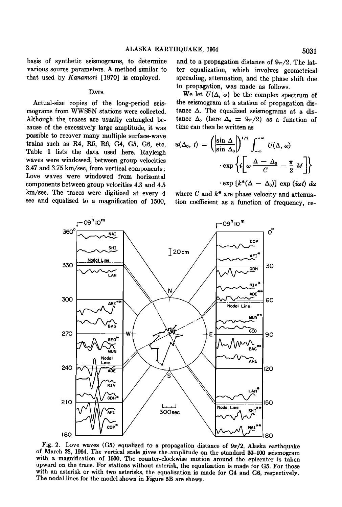**basis of synthetic seismograms, to determine various source parameters. A method similar to that used by Kanamori [1970] is employed.** 

#### DATA

Actual-size copies of the long-period seis**mograms from WWSSN stations were collected. Although the traces are usually entangled because of the excessively large amplitude, it was possible to recover many multiple surface-wave trains such as R4, RS, R6, G4, GS, GO, etc. Table 1 lists the data used here. Rayleigh waves were windowed, between group velocities 3.47 and 3.75 km/see, from vertical components; Love waves were windowed from horizontal components between group velocities 4.3 and 4.15 km/see. The traces were digitized at every 4**  sec and equalized to a magnification of 1500,

and to a propagation distance of  $9\pi/2$ . The lat**ter equalization, which involves geometrical spreading, attenuation, and the phase shift due to propagation, was made as follows.** 

We let  $U(\Delta, \omega)$  be the complex spectrum of the seismogram at a station of propagation dis $t$ ance  $\Delta$ . The equalized seismograms at a distance  $\Delta_0$  (here  $\Delta_0 = 9\pi/2$ ) as a function of **time can then be written as** 

$$
u(\Delta_0, t) = \left( \left| \frac{\sin \Delta}{\sin \Delta_0} \right| \right)^{1/2} \int_{-\infty}^{+\infty} U(\Delta, \omega)
$$

$$
\cdot \exp \left\{ i \left[ \omega \frac{\Delta - \Delta_0}{C} - \frac{\pi}{2} M \right] \right\}
$$

$$
\cdot \exp \left[ k^*(\Delta - \Delta_0) \right] \exp (i\omega t) d\omega
$$

where C and  $k^*$  are phase velocity and attenua**tion coefficient as a function of frequency, re-** 



Fig. 2. Love waves (G5) equalized to a propagation distance of  $9\pi/2$ , Alaska earthquake **of March 28, 1964. The vertical scale gives the.amplitude on the standard 30-100 seismogram with a magnification of 1500. The counter-clockwise motion around the epicenter is taken upward on the trace. For stations without asterisk, the equalization is made for GS. For those**  with an asterisk or with two asterisks, the equalization is made for G4 and G6, respectively. **The nodal lines for the model shown in Figure 5B are shown.**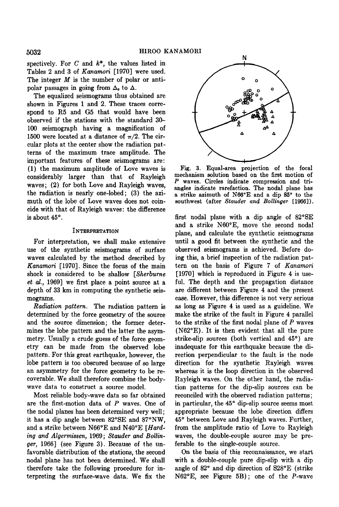spectively. For  $C$  and  $k^*$ , the values listed in **Tables 2 and 3 of Kanamori [1970] were used.**  The integer  $M$  is the number of polar or antipolar passages in going from  $\Delta_0$  to  $\Delta$ .

**The equalized seismograms thus obtained are shown in Figures i and 2. These traces correspond to R5 and G5 that would have been observed if the stations with the standard 30- 100 seismograph having a magnification of**  1500 were located at a distance of  $\pi/2$ . The cir**cular plots at the center show the radiation patterns of the maximum trace amplitude. The important features of these seismograms are: (1) the maximum amplitude of Love waves is considerably larger than that of Rayleigh waves; (2) for both Love and Rayleigh waves, the radiation is nearly one-lobed; (3) the azimuth of the lobe of Love waves does not coincide with that of Rayleigh waves: the difference is about 45ø.** 

## **INTERPRETATION**

**For interpretation, we shall make extensive use of the synthetic seismograms of surface waves calculated by the method described by Kanamori [1970]. Since the focus of the main shock is considered to be shallow [Sherburne et al., 1969] we first place a point source at a depth of 33 km in computing the synthetic seismograms.** 

**Radiation pattern. The radiation pattern is determined by the force geometry of the source and the source dimension; the former determines the lobe pattern and the latter the asymmetry. Usually a crude guess of the force geometry can be made from the observed lobe pattern. For this great earthquake, however, the lobe pattern is too obscured because of so large an asymmetry for the force geometry to be recoverable. We shall therefore combine the bodywave data to construct a source model.** 

**Most. reliable body-wave data so far obtained are the first-motion data of P waves. One of the nodal planes has been determined very well; it has a dip angle between 82øSE and 87øNW,**  and a strike between N66<sup>o</sup>E and N40<sup>o</sup>E [*Hard***ing and Algermissen, 1969; Stauder and Bollinget, 1966] (see Figure 3). Because of the unfavorable distribution of the stations, the second nodal plane has not been determined. We shall therefore take the following procedure for interpreting the surface-wave data. We fix the** 



**Fig. 3. Equal-area projection of the focal mechanism solution based on the first motion of P waves. Circles indicate compression and triangles indicate rarefaction. The nodal plane has**  a strike azimuth of N66°E and a dip 85° to the **southwest (after Stauder and Bollinger [1966]).** 

**first nodal plane with a dip angle of 82øSE and a strike N60øE, move the second nodal plane, and calculate the synthetic seismograms until a good fit between the synthetic and the observed seismograms is achieved. Before doing this, a brief inspection of the radiation pattern on the basis of Figure 7 of Kanamori [1970] which is reproduced in Figure 4 is useful. The depth and the propagation distance are different between Figure 4 and the present case. However, this difference is not very serious as long as Figure 4 is used as a guideline. We make the strike of the fault in Figure 4 parallel to the strike of the first. nodal plane of P waves (N62øE). It is then evident that all the pure**  strike-slip sources (both vertical and 45<sup>°</sup>) are **inadequate for this earthquake because the direction perpendicular to the fault is the node direction for the synthetic Rayleigh waves whereas it is the loop direction in the observed Rayleigh waves. On the other hand, the radiation patterns for the dip-slip sources can be reconciled with the observed radiation patterns;**  in particular, the 45<sup>°</sup> dip-slip source seems most **appropriate because the lobe direction differs 45 ø between Love and Rayleigh waves. Further, from the amplitude ratio of Love to Rayleigh waves, the double-couple source may be preferable to the single-couple source.** 

**On the basis of this reconnaissance, we start with a double-couple pure dip-slip with a dip angle of 82 ø and dip direction of S28øE (strike N62øE, see Figure 5B); one of the P-wave**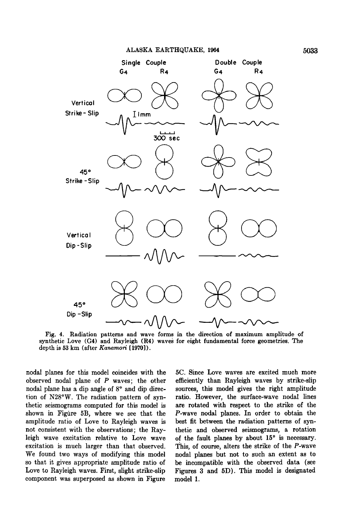

**Fig. 4. Radiation patterns and wave forms in the direction of maximum amplitude of**  synthetic Love (G4) and Rayleigh (R4) waves for eight fundamental force geometries. The **depth is 53 km (after Kanamori [1970]).** 

**nodal planes for this model coincides with the 5C. Since Love waves are excited much more**  observed nodal plane of  $P$  waves; the other nodal plane has a dip angle of  $8^{\circ}$  and dip direcnodal plane has a dip angle of 8° and dip direc-<br>tion of N28°W. The radiation pattern of syn-<br>ratio. However, the surface-wave nodal lines tion of N28°W. The radiation pattern of syn-<br>tatio. However, the surface-wave nodal lines<br>thetic seismograms computed for this model is are rotated with respect to the strike of the shown in Figure 5B, where we see that the P-wave nodal planes. In order to obtain the amplitude ratio of Love to Rayleigh waves is best fit between the radiation patterns of synamplitude ratio of Love to Rayleigh waves is not consistent with the observations; the Raynot consistent with the observations; the Ray-<br>leigh wave excitation relative to Love wave of the fault planes by about 15<sup>°</sup> is necessary. leigh wave excitation relative to Love wave of the fault planes by about  $15^{\circ}$  is necessary.<br>
excitation is much larger than that observed. This, of course, alters the strike of the  $P$ -wave excitation is much larger than that observed. This, of course, alters the strike of the *P*-wave We found two ways of modifying this model nodal planes but not to such an extent as to We found two ways of modifying this model nodal planes but not to such an extent as to so that it gives appropriate amplitude ratio of be incompatible with the observed data (see **so that it gives appropriate amplitude ratio of be incompatible with the observed data (see**  component was superposed as shown in Figure

are rotated with respect to the strike of the *P*-wave nodal planes. In order to obtain the Figures 3 and 5D). This model is designated model 1.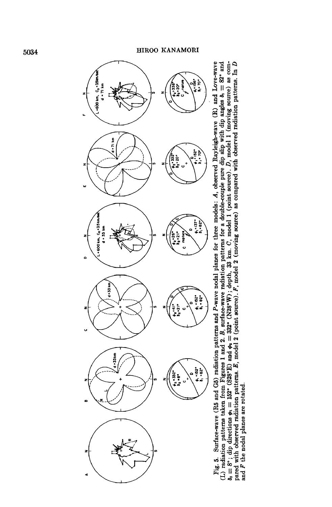

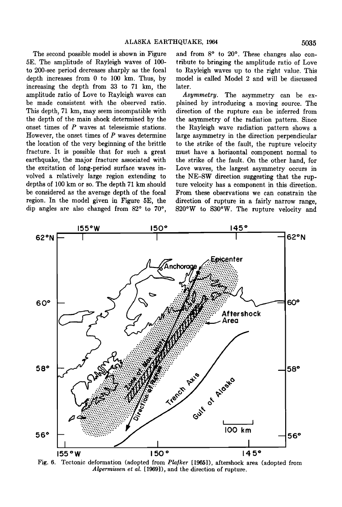**The second possible model is shown in Figure 5E. The amplitude of Rayleigh waves of 100 to 200-sec period decreases sharply as the focal depth increases from 0 to 100 km. Thus, by**  increasing the depth from 33 to 71 km, the **amplitude ratio of Love to Rayleigh waves can**  be made consistent with the observed ratio. **This depth, 71 km, may seem incompatible with the depth of the main shock determined by the onset times of P waves at teleseismic stations. However, the onset times of P waves determine the location of the very beginning of the brittle fracture. It is possible that. for such a great earthquake, the major fracture associated with the excitation of long-period surface waves involved a relatively large region extending to depths of 100 km or so. The depth 71 km should be considered as the average depth of the focal region. In the model given in Figure 5E, the**  dip angles are also changed from 82° to 70°,

and from 8° to 20°. These changes also con**tribute to bringing the amplitude ratio of Love to Rayleigh waves up to the right value. This model is called Model 2 and will be discussed later.** 

Asymmetry. The asymmetry can be ex-<br>plained by introducing a moving source. The **direction of the rupture can be inferred from the asymmetry of the radiation pattern. Since the Rayleigh wave radiation pattern shows a large asymmetry in the direction perpendicular to the strike of the fault, the rupture velocity must have a horizontal component normal to the strike of the fault. On the other hand, for Love waves, the largest asymmetry occurs in the NE-SW direction suggesting that the rupture velocity has a component in this direction. From these observations we can constrain the direction of rupture in a fairly narrow range, S20øW to S30øW. The rupture velocity and** 



**Fig. 6. Tectonic deformation (adopted from PlaJker [1965]), aftershock area (adopted from Algermissen et al. [1969]), and the direction of rupture.**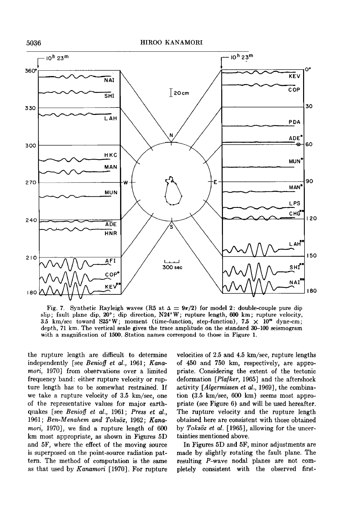

Fig. 7. Synthetic Rayleigh waves (R5 at  $\Delta = 9\pi/2$ ) for model 2: double-couple pure dip **slip; fault plane dip, 20ø; dip direction, N24øW; rupture length, 600 km; rupture velocity, 3.5 km/sec toward S25°W; moment (time-function, step-function),**  $7.5 \times 10^{29}$  **dyne-cm;** depth, 71 km. The vertical scale gives the trace amplitude on the standard 30–100 seismogram **with a magnification of 1500. Station names correspond to those in Figure 1.** 

**the rupture length are difficult to determine**  independently [see *Benioff et al.*, 1961; Kana**mori, 1970] from observations over a limited frequency band: either rupture velocity or rupture length has to be somewhat restrained. if we take a rupture velocity of 3.5 km/sec, one of the representative values for major earthquakes [see Beniof] et al., 1961; Press et al.,**  1961; Ben-Menahem and Toksöz, 1962; Kana**mori, 1970], we find a rupture length of 600 km most appropriate, as shown in Figures 5D and 5F, where the effect of the moving source is superposed on the point-source radiation pattern. The method of computation is the same as that used by Kanamori [1970]. For rupture**  **velocities of 2.5 and 4.5 km/sec, rupture lengths of 450 and 750 km, respectively, are appropriate. Considering the extent of the tectonic deformation [Plafker, 1965] and the aftershock activity [Algermissen et al., 1969], the combina**tion (3.5 km/sec, 600 km) seems most appro**priate (see Figure 6) and will be used hereafter. The rupture velocity and the rupture length obtained here are consistent with those obtained**  by Toksöz et al. [1965], allowing for the uncer**tainties mentioned above.** 

**in Figures 5D and 5F, minor adjustments are made by slightly rotating the fault plane. The resulting P-wave nodal planes are not completely consistent with the observed first-**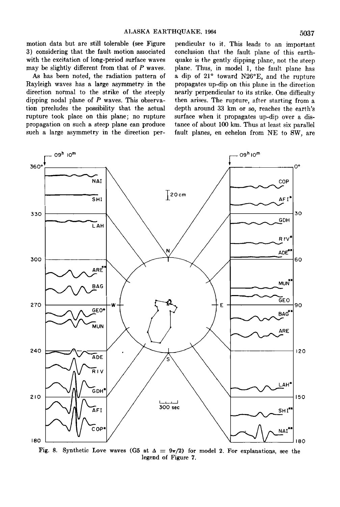**motion data but are still tolerable (see Figure 3) considering that the fault motion associated with the excitation of long-period surface waves may be slightly different from that of P waves.** 

**As has been noted, the radiation pattern of Rayleigh waves has a large asymmetry in the direction normal to the strike of the steeply dipping nodal plane of P waves. This observation precludes the possibility that the actual rupture took place on this plane; no rupture propagation on such a steep plane can produce such a large asymmetry in the direction per-** **pendicular to it. This leads to an important conclusion that the fault plane of this earthquake is the gently dipping plane, not the steep plane. Thus, in model 1, the fault plane has**  a dip of 21° toward N26°E, and the rupture **propagates up-dip on this plane in the direction nearly perpendicular to its strike. One difficulty then arises. The rupture, after starting from a depth around 33 km or so, reaches the earth's surface when it propagates up-dip over a distance of about 100 km. Thus at least six parallel**  fault planes, en echelon from NE to SW, are



**Fig. 8.** Synthetic Love waves (G5 at  $\Delta = \frac{9\pi}{2}$ ) for model 2. For explanations, see the **legend of Figure 7.**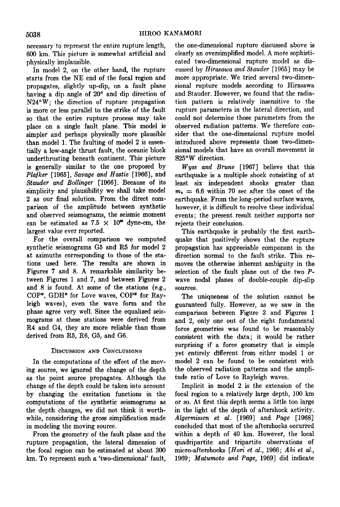**necessary to represent the entire rupture length, 600 km. This picture is somewhat. artificial and physically implausible.** 

**In model 2, on the other hand, the rupture starts from the NE end of the focal region and propagates, slightly up-dip, on a fault plane**  having a dip angle of 20° and dip direction of **N24øW; the direction of rupture propagation is more or less parallel to the strike of the fault so that the entire rupture process may take place on a single fault plane. This model is simpler and perhaps physically more plausible than model 1. The faulting of model 2 is essentially a low-angle thrust fault, the oceanic block underthrusting beneath continent. This picture is generally similar to the one proposed by**  Plafker [1965], Savage and Hastie [1966], and Stauder and Bollinger [1966]. Because of its **simplicity and plausibility we shall take model 2 as our final solution. From the direct comparison of the amplitude between synthetic and observed seismograms, the seismic moment**  can be estimated as  $7.5 \times 10^{20}$  dyne-cm, the **largest value ever reported.** 

**For the overall comparison we computed synthetic seismograms G5 and R5 for model 2 at azimuths corresponding to those of the stations used here. The results are shown in Figures 7 and 8. A remarkable similarity between Figures 1 and 7, and between Figures 2 and 8 is found. At some of the stations (e.g.,**  COP\*, GDH\* for Love waves, COP\* for Ray**leigh waves), even the wave form and the phase agree very well. Since the equalized seismograms at these stations were derived from R4 and G4, they are more reliable than those derived from RS, R6, GS, and G6.** 

## **DISCUSSION AND CONCLUSIONS**

**In the computations of the effect of the moving source, we ignored the change of the depth as the point source propagates. Although the change of the depth could be taken into account by changing the excitation functions in the computations of the synthetic seismograms as the depth changes, we did not think it worthwhile, considering the gross simplification made in modeling the moving source.** 

**From the geometry of the fault plane and the rupture propagation, the lateral dimension of the focal region can be estimated at about 300 kin. To represent such a 'two-dimensional' fault,**  **the one-dimensional rupture discussed above is clearly an oversimplified model. A more sophisticated two-dimensional rupture model as discussed by Hirasawa and Stauder [1965] may be more appropriate. We tried several two-dimensional rupture models according to Hirasawa and Stauder. However, we found that the radiation pattern is relatively insensitive to the rupture parameters in the lateral direction, and could not. determine those parameters from the observed radiation patterns. We therefore consider that the one-dimensional rupture model introduced above represents those two-dimensional models that have an overall movement in S25øW direction.** 

**Wyss and Brune [1967] believe that this earthquake is a multiple shock consisting of at least six independent shocks greater than**   $m_b = 6.6$  within 70 sec after the onset of the **earthquake. From the long-period surface waves, however, it is difficult to resolve these individual events; the present result neither supports nor rejects their conclusion.** 

**This earthquake is probably the first earthquake that positively shows that the rupture propagation has appreciable component in the direction normal to the fault strike. This removes the otherwise inherent ambiguity in the selection of the fault plane out of the two Pwave nodal planes of double-couple dip-slip sources.** 

**The uniqueness of the solution cannot be guaranteed fully. However, as we saw in the comparison between Figure 3 and Figures 1 and 2, only one out of the eight fundamental force geometries was found to be reasonably consistent with the data; it would be rather surprising if a force geometry that is simple yet entirely different from either model 1 or model 2 can be found to be consistent with the observed radiation patterns and the amplitude ratio of Love to Rayleigh waves.** 

**Implicit in model 2 is the extension of the focal region to a relatively large depth, 100 km or so. At first this depth seems a little too large in the light of the depth of aftershock activity. Algermissen et al. [1969] and Page [1968] concluded that most of the aftershocks occurred within a depth of 40 km. However, the local quadripartite and tripartite observations of micro-aftershocks [Hori et al., !966; Aki et al., 1969; Matumoto and Page, 1969] did indicate**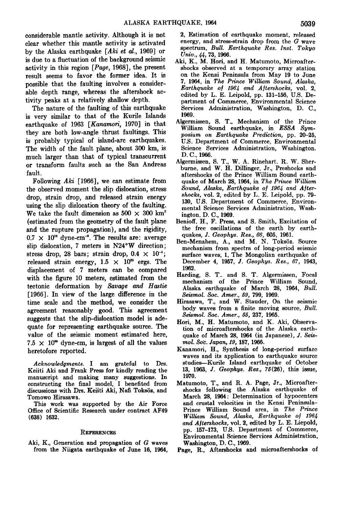**considerable mantle activity. Although it is not clear whether this mantle activity is activated by the Alaska earthquake [Aki et al., 1969] or is due to a fluctuation of the background seismic activity in this region [Page, 1968], the present result seems to favor the former idea. It is possible that the faulting involves a considerable depth range, whereas the aftershock activity peaks at a relatively shallow depth.** 

**The nature of the faulting of this earthquake is very similar to that of the Kurile Islands earthquake of 1963 [Kanamori, 1970] in that they are both low-angle thrust faultings. This is probably typical of island-arc earthquakes. The width of the fault plane, about 300 km, is much larger than that of typical transcurrent or transform faults such as the San Andreas fault.** 

**Following Aki [1966], we can estimate from the observed moment the slip dislocation, stress drop, strain drop, and released strain energy using the slip dislocation theory of the faulting.**  We take the fault dimension as  $500 \times 300$  km<sup>2</sup> **(estimated from the geometry of the fault plane and the rupture propagation), and the rigidity,**   $0.7 \times 10^{19}$  dyne-cm<sup>-2</sup>. The results are: average **slip dislocation, 7 meters in N24øW direction;**  stress drop, 28 bars; strain drop,  $0.4 \times 10^{-4}$ ; released strain energy,  $1.5 \times 10^{25}$  ergs. The **displacement. of 7 meters can be compared**  with the figure 10 meters, estimated from the **tectonic deformation by Savage and Hastie [1966]. In view of the large difference in the time scale and the method, we consider the agreement reasonably good. This agreement suggests that the slip-dislocation model is adequate for representing earthquake source. The value of the seismic moment estimated here,**   $7.5 \times 10^{20}$  dyne-cm, is largest of all the values **heretofore reported.** 

**Acknowledgments. I am grateful to Drs. Keiiti Aki and Frank Press for kindly reading the manuscript and making many suggestions. In constructing the final model, I benefited from**  discussions with Drs. Keiiti Aki, Nafi Toksöz, and **Tomowo Hirasawa.** 

**This work was supported by the Air Force**  Office of Scientific Research under contract AF49 **(638) 1632.** 

### **REFERENCES**

**Aki, K., Generation and propagation of G waves from the Niigata earthquake of June 16, 1964,**  **2, Estimation of earthquake moment, released energy, and stress-strain drop from the G wave spectrum, Bull. Earthquake Res. Inst. Tokyo Univ., 44, 73, 1966.** 

- **Aki, K.. M. Hori, and H. Matumoto, Microaftershocks observed at a temporary array station on the Kenai Peninsula from May 19 to June 7, 1964, in The Prince William Sound, Alaska, Earthquake of 1964 and Aftershocks, vol. 2. edited by L. E. Leipold, pp. 131-156, U.S. Department of Commerce, Environmental Science Services Administration, Washington, D. C., 1969.**
- **Algermissen, S. T., Mechanism of the Prince William Sound earthquake, in ESSA Symposium on Earthquake Prediction, pp. 20-25, U.S. Department of Commerce, Environmental Science Services Administration, Washington, D.C., 1966.**
- **Algermissen, S. T., W. A. Rinehart. R. W. Sherburne, and W. H. Dillinger, Jr., Preshocks and aftershocks of the Prince William Sound earthquake of March 28, 1964, in The Prince William**  Sound, Alaska, Earthquake of 1964 and After**shocks, vol. 2, edited by L. E. Leipold, pp. 79- 130, U.S. Department of Commerce, Environmental Science Services Administration, Washington, D.C., 1969.**
- **Benioff, H., F. Press, and S. Smith, Excitation of the free oscillations of the earth by earthquakes, J. Geophys. Res., 66, 605, 1961.**
- Ben-Menahem, A., and M. N. Toksöz. Source **mechanism from spectra of long-period seismic surface waves, 1, The Mongolian earthquake of December 4, 1957, J. Geophys. Res., 67, 1943, 1962.**
- **Harding, S. T.. and S. T. Algermissen, Focal mechanism of the Prince William Sound, Alaska earthquake of March 28, 1964, Bull. Seismol. Soc. Amer., 59, 799, 1969.**
- **Hirasawa, T., and W. Stauder, On the seismic body waves from a finite moving source, Bull. Seismol. Soc. Amer., 55, 237, 1965.**
- **Hori, M., H. Matumoto, and K. Aki, Observation of microaftershocks of the Alaska earthquake of March 28, 1964 (in Japanese), J. Seis**mol. Soc. Japan, 19, 187, 1966.
- **Kanamori, H., Synthesis of long-period surface waves and its application to earthquake source studies--Kurile Island earthquake of October 13, 1963, J. Geophys. Res., 75(26), this issue, 1970.**
- **Matumoto, T., and R. A. Page, Jr., Microaftershocks following the Alaska earthquake of March 28, 1964: Determination of hypocenters and crustal velocities in the Kenai Peninsula-Prince William Sound area, in The Prince**  William Sound, Alaska, Earthquake of 1964 and Aftershocks, vol. 2, edited by L. E. Liepold, **pp. 157-173, U.S. Department of Commerce, Environmental Science Services Administration, Washington, D.C., 1969.**
- **Page, R., Aftershocks and microaftershocks of**